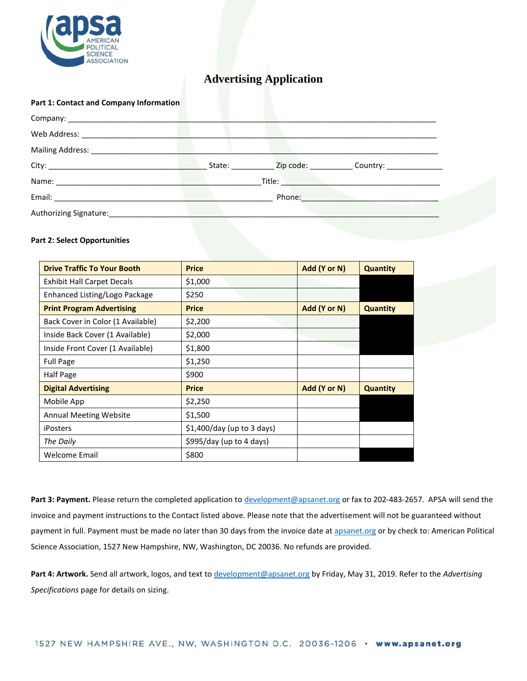

# **Advertising Application**

#### **Part 1: Contact and Company Information**

| Web Address: ______________        |                                                                                                                                                                                                                                      |  |                                                                                  |
|------------------------------------|--------------------------------------------------------------------------------------------------------------------------------------------------------------------------------------------------------------------------------------|--|----------------------------------------------------------------------------------|
| Mailing Address: ________________  |                                                                                                                                                                                                                                      |  |                                                                                  |
|                                    |                                                                                                                                                                                                                                      |  | State: ____________ Zip code: ______________ Country: __________________________ |
|                                    | Title: <b>The Communist Street Street Street Street Street Street Street Street Street Street Street Street Street Street Street Street Street Street Street Street Street Street Street Street Street Street Street Street Stre</b> |  |                                                                                  |
|                                    | Phone: The Contract of the Contract of the Contract of the Contract of the Contract of the Contract of the Contract of the Contract of the Contract of the Contract of the Contract of the Contract of the Contract of the Con       |  |                                                                                  |
| Authorizing Signature: ___________ |                                                                                                                                                                                                                                      |  |                                                                                  |
|                                    |                                                                                                                                                                                                                                      |  |                                                                                  |

### **Part 2: Select Opportunities**

| <b>Drive Traffic To Your Booth</b> | <b>Price</b>                | Add (Y or N) | <b>Quantity</b> |
|------------------------------------|-----------------------------|--------------|-----------------|
| <b>Exhibit Hall Carpet Decals</b>  | \$1,000                     |              |                 |
| Enhanced Listing/Logo Package      | \$250                       |              |                 |
| <b>Print Program Advertising</b>   | <b>Price</b>                | Add (Y or N) | <b>Quantity</b> |
| Back Cover in Color (1 Available)  | \$2,200                     |              |                 |
| Inside Back Cover (1 Available)    | \$2,000                     |              |                 |
| Inside Front Cover (1 Available)   | \$1,800                     |              |                 |
| <b>Full Page</b>                   | \$1,250                     |              |                 |
| Half Page                          | \$900                       |              |                 |
| <b>Digital Advertising</b>         | <b>Price</b>                | Add (Y or N) | <b>Quantity</b> |
| Mobile App                         | \$2,250                     |              |                 |
| <b>Annual Meeting Website</b>      | \$1,500                     |              |                 |
| <b>iPosters</b>                    | $$1,400/day$ (up to 3 days) |              |                 |
| The Daily                          | \$995/day (up to 4 days)    |              |                 |
| Welcome Email                      | \$800                       |              |                 |

**Part 3: Payment.** Please return the completed application to [development@apsanet.org](mailto:development@apsanet.org) or fax to 202-483-2657. APSA will send the invoice and payment instructions to the Contact listed above. Please note that the advertisement will not be guaranteed without payment in full. Payment must be made no later than 30 days from the invoice date at [apsanet.org](http://www.apsanet.org/) or by check to: American Political Science Association, 1527 New Hampshire, NW, Washington, DC 20036. No refunds are provided.

**Part 4: Artwork.** Send all artwork, logos, and text t[o development@apsanet.org](mailto:development@apsanet.org) by Friday, May 31, 2019. Refer to the *Advertising Specifications* page for details on sizing.